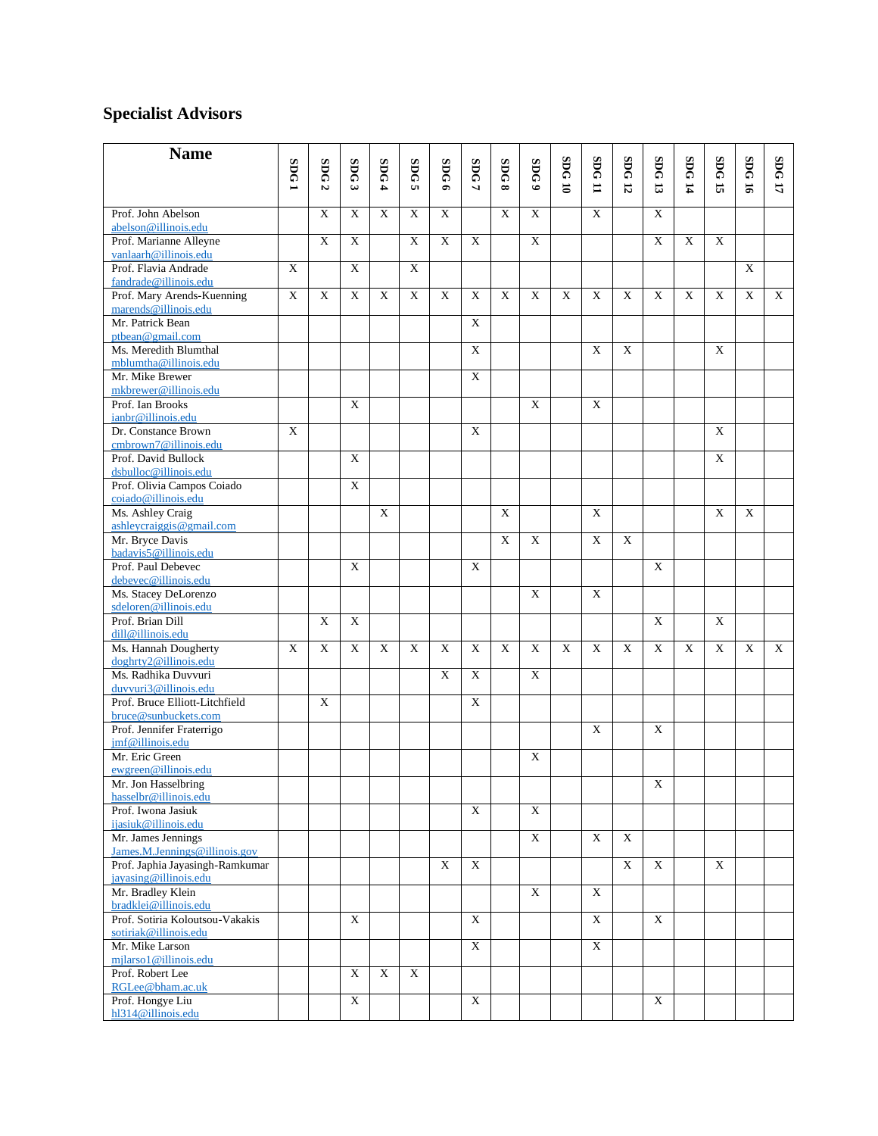## **Specialist Advisors**

| <b>Name</b>                                              |             |             |             |                |                |                         |                |                           |                         |                |                   |             |                |             |                           |                           |        |
|----------------------------------------------------------|-------------|-------------|-------------|----------------|----------------|-------------------------|----------------|---------------------------|-------------------------|----------------|-------------------|-------------|----------------|-------------|---------------------------|---------------------------|--------|
|                                                          | SDG1        | <b>SDG</b>  | SDG         | SDG            | SDG            | SDG6                    | SDG            | SDG8                      | SDG9                    | <b>SDG10</b>   | SDG <sub>11</sub> | <b>SDG</b>  | <b>SDG</b>     | SDG 14      | <b>SDG</b>                | SDG 16                    | SDG 17 |
|                                                          |             | N           | ىئ          | 4              | <b>u</b>       |                         | 7              |                           |                         |                |                   | 12          | 13             |             | ÷,                        |                           |        |
| Prof. John Abelson                                       |             | $\mathbf X$ | $\mathbf X$ | $\mathbf X$    | $\overline{X}$ | $\mathbf X$             |                | $\mathbf X$               | $\mathbf X$             |                | $\mathbf X$       |             | $\mathbf X$    |             |                           |                           |        |
| abelson@illinois.edu                                     |             |             |             |                |                |                         |                |                           |                         |                |                   |             |                |             |                           |                           |        |
| Prof. Marianne Alleyne                                   |             | $\mathbf X$ | X           |                | X              | $\mathbf X$             | $\mathbf X$    |                           | $\mathbf X$             |                |                   |             | $\mathbf X$    | $\mathbf X$ | $\mathbf X$               |                           |        |
| vanlaarh@illinois.edu                                    |             |             |             |                |                |                         |                |                           |                         |                |                   |             |                |             |                           |                           |        |
| Prof. Flavia Andrade<br>fandrade@illinois.edu            | X           |             | X           |                | $\mathbf X$    |                         |                |                           |                         |                |                   |             |                |             |                           | $\mathbf X$               |        |
| Prof. Mary Arends-Kuenning                               | $\mathbf X$ | $\mathbf X$ | X           | X              | $\mathbf X$    | $\mathbf X$             | $\mathbf X$    | X                         | $\mathbf X$             | $\mathbf X$    | X                 | X           | $\mathbf X$    | X           | X                         | $\mathbf X$               | X      |
| marends@illinois.edu                                     |             |             |             |                |                |                         |                |                           |                         |                |                   |             |                |             |                           |                           |        |
| Mr. Patrick Bean                                         |             |             |             |                |                |                         | $\mathbf X$    |                           |                         |                |                   |             |                |             |                           |                           |        |
| ptbean@gmail.com<br>Ms. Meredith Blumthal                |             |             |             |                |                |                         | $\mathbf X$    |                           |                         |                | $\mathbf X$       | $\mathbf X$ |                |             | $\mathbf X$               |                           |        |
| mblumtha@illinois.edu                                    |             |             |             |                |                |                         |                |                           |                         |                |                   |             |                |             |                           |                           |        |
| Mr. Mike Brewer                                          |             |             |             |                |                |                         | $\overline{X}$ |                           |                         |                |                   |             |                |             |                           |                           |        |
| mkbrewer@illinois.edu                                    |             |             |             |                |                |                         |                |                           |                         |                |                   |             |                |             |                           |                           |        |
| Prof. Ian Brooks                                         |             |             | X           |                |                |                         |                |                           | X                       |                | X                 |             |                |             |                           |                           |        |
| ianbr@illinois.edu                                       |             |             |             |                |                |                         |                |                           |                         |                |                   |             |                |             |                           |                           |        |
| Dr. Constance Brown                                      | $\mathbf X$ |             |             |                |                |                         | $\mathbf X$    |                           |                         |                |                   |             |                |             | X                         |                           |        |
| cmbrown7@illinois.edu<br>Prof. David Bullock             |             |             | X           |                |                |                         |                |                           |                         |                |                   |             |                |             | $\mathbf X$               |                           |        |
| dsbulloc@illinois.edu                                    |             |             |             |                |                |                         |                |                           |                         |                |                   |             |                |             |                           |                           |        |
| Prof. Olivia Campos Coiado                               |             |             | X           |                |                |                         |                |                           |                         |                |                   |             |                |             |                           |                           |        |
| coiado@illinois.edu                                      |             |             |             |                |                |                         |                |                           |                         |                |                   |             |                |             |                           |                           |        |
| Ms. Ashley Craig                                         |             |             |             | X              |                |                         |                | $\boldsymbol{\mathrm{X}}$ |                         |                | $\mathbf X$       |             |                |             | X                         | $\mathbf X$               |        |
| ashleycraiggis@gmail.com                                 |             |             |             |                |                |                         |                |                           |                         |                |                   |             |                |             |                           |                           |        |
| Mr. Bryce Davis                                          |             |             |             |                |                |                         |                | $\boldsymbol{\mathrm{X}}$ | X                       |                | $\mathbf X$       | X           |                |             |                           |                           |        |
| badavis5@illinois.edu<br>Prof. Paul Debevec              |             |             | $\mathbf X$ |                |                |                         | $\mathbf X$    |                           |                         |                |                   |             | X              |             |                           |                           |        |
| debevec@illinois.edu                                     |             |             |             |                |                |                         |                |                           |                         |                |                   |             |                |             |                           |                           |        |
| Ms. Stacey DeLorenzo                                     |             |             |             |                |                |                         |                |                           | X                       |                | $\mathbf X$       |             |                |             |                           |                           |        |
| sdeloren@illinois.edu                                    |             |             |             |                |                |                         |                |                           |                         |                |                   |             |                |             |                           |                           |        |
| Prof. Brian Dill                                         |             | X           | X           |                |                |                         |                |                           |                         |                |                   |             | X              |             | X                         |                           |        |
| dill@illinois.edu<br>Ms. Hannah Dougherty                | $\mathbf X$ | $\mathbf X$ | X           | $\mathbf X$    | $\mathbf X$    | $\overline{\mathbf{X}}$ | $\overline{X}$ | $\boldsymbol{\mathrm{X}}$ | $\overline{\mathbf{X}}$ | $\overline{X}$ | X                 | X           | $\mathbf X$    | X           | $\boldsymbol{\mathrm{X}}$ | $\boldsymbol{\mathrm{X}}$ | X      |
| doghrty2@illinois.edu                                    |             |             |             |                |                |                         |                |                           |                         |                |                   |             |                |             |                           |                           |        |
| Ms. Radhika Duvvuri                                      |             |             |             |                |                | X                       | X              |                           | X                       |                |                   |             |                |             |                           |                           |        |
| duvvuri3@illinois.edu                                    |             |             |             |                |                |                         |                |                           |                         |                |                   |             |                |             |                           |                           |        |
| Prof. Bruce Elliott-Litchfield                           |             | $\mathbf X$ |             |                |                |                         | X              |                           |                         |                |                   |             |                |             |                           |                           |        |
| bruce@sunbuckets.com                                     |             |             |             |                |                |                         |                |                           |                         |                |                   |             |                |             |                           |                           |        |
| Prof. Jennifer Fraterrigo<br>jmf@illinois.edu            |             |             |             |                |                |                         |                |                           |                         |                | $\mathbf X$       |             | $\mathbf X$    |             |                           |                           |        |
| Mr. Eric Green                                           |             |             |             |                |                |                         |                |                           | X                       |                |                   |             |                |             |                           |                           |        |
| ewgreen@illinois.edu                                     |             |             |             |                |                |                         |                |                           |                         |                |                   |             |                |             |                           |                           |        |
| Mr. Jon Hasselbring                                      |             |             |             |                |                |                         |                |                           |                         |                |                   |             | $\overline{X}$ |             |                           |                           |        |
| hasselbr@illinois.edu                                    |             |             |             |                |                |                         |                |                           |                         |                |                   |             |                |             |                           |                           |        |
| Prof. Iwona Jasiuk                                       |             |             |             |                |                |                         | $\mathbf X$    |                           | X                       |                |                   |             |                |             |                           |                           |        |
| ijasiuk@illinois.edu<br>Mr. James Jennings               |             |             |             |                |                |                         |                |                           | $\mathbf X$             |                | X                 | $\mathbf X$ |                |             |                           |                           |        |
| James.M.Jennings@illinois.gov                            |             |             |             |                |                |                         |                |                           |                         |                |                   |             |                |             |                           |                           |        |
| Prof. Japhia Jayasingh-Ramkumar                          |             |             |             |                |                | $\mathbf X$             | $\mathbf X$    |                           |                         |                |                   | $\mathbf X$ | X              |             | $\mathbf X$               |                           |        |
| jayasing@illinois.edu                                    |             |             |             |                |                |                         |                |                           |                         |                |                   |             |                |             |                           |                           |        |
| Mr. Bradley Klein                                        |             |             |             |                |                |                         |                |                           | $\mathbf X$             |                | $\mathbf X$       |             |                |             |                           |                           |        |
| bradklei@illinois.edu                                    |             |             |             |                |                |                         |                |                           |                         |                |                   |             |                |             |                           |                           |        |
| Prof. Sotiria Koloutsou-Vakakis<br>sotiriak@illinois.edu |             |             | $\mathbf X$ |                |                |                         | $\mathbf X$    |                           |                         |                | $\mathbf X$       |             | X              |             |                           |                           |        |
| Mr. Mike Larson                                          |             |             |             |                |                |                         | $\mathbf X$    |                           |                         |                | $\overline{X}$    |             |                |             |                           |                           |        |
| mjlarso1@illinois.edu                                    |             |             |             |                |                |                         |                |                           |                         |                |                   |             |                |             |                           |                           |        |
| Prof. Robert Lee                                         |             |             | $\mathbf X$ | $\overline{X}$ | $\mathbf X$    |                         |                |                           |                         |                |                   |             |                |             |                           |                           |        |
| RGLee@bham.ac.uk                                         |             |             |             |                |                |                         |                |                           |                         |                |                   |             |                |             |                           |                           |        |
| Prof. Hongye Liu                                         |             |             | X           |                |                |                         | $\mathbf X$    |                           |                         |                |                   |             | $\mathbf X$    |             |                           |                           |        |
| hl314@illinois.edu                                       |             |             |             |                |                |                         |                |                           |                         |                |                   |             |                |             |                           |                           |        |